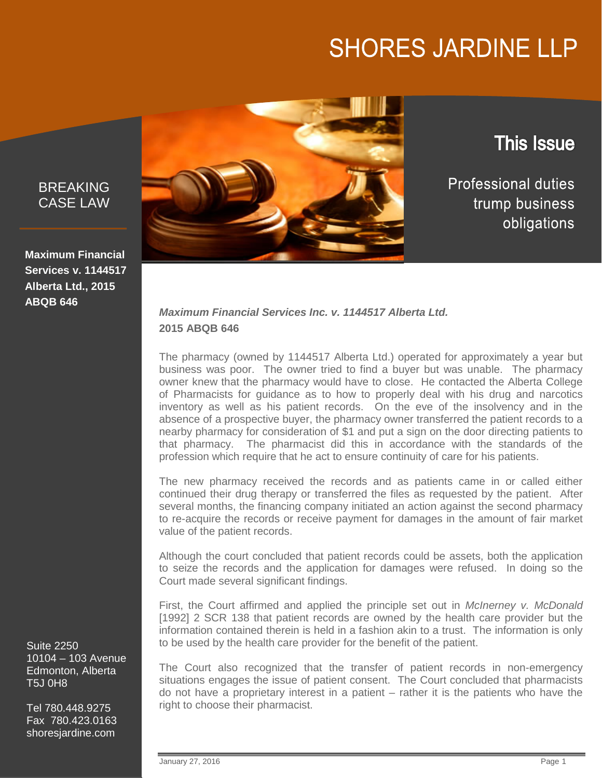# **SHORES JARDINE LLP**

BREAKING CASE LAW

**Maximum Financial Services v. 1144517 Alberta Ltd., 2015 ABQB 646**

Suite 2250 10104 – 103 Avenue Edmonton, Alberta T5J 0H8

Tel 780.448.9275 Fax 780.423.0163 shoresjardine.com



### **This Issue**

**Professional duties** trump business obligations

#### *Maximum Financial Services Inc. v. 1144517 Alberta Ltd.* **2015 ABQB 646**

The pharmacy (owned by 1144517 Alberta Ltd.) operated for approximately a year but business was poor. The owner tried to find a buyer but was unable. The pharmacy owner knew that the pharmacy would have to close. He contacted the Alberta College of Pharmacists for guidance as to how to properly deal with his drug and narcotics inventory as well as his patient records. On the eve of the insolvency and in the absence of a prospective buyer, the pharmacy owner transferred the patient records to a nearby pharmacy for consideration of \$1 and put a sign on the door directing patients to that pharmacy. The pharmacist did this in accordance with the standards of the profession which require that he act to ensure continuity of care for his patients.

The new pharmacy received the records and as patients came in or called either continued their drug therapy or transferred the files as requested by the patient. After several months, the financing company initiated an action against the second pharmacy to re-acquire the records or receive payment for damages in the amount of fair market value of the patient records.

Although the court concluded that patient records could be assets, both the application to seize the records and the application for damages were refused. In doing so the Court made several significant findings.

First, the Court affirmed and applied the principle set out in *McInerney v. McDonald* [1992] 2 SCR 138 that patient records are owned by the health care provider but the information contained therein is held in a fashion akin to a trust. The information is only to be used by the health care provider for the benefit of the patient.

The Court also recognized that the transfer of patient records in non-emergency situations engages the issue of patient consent. The Court concluded that pharmacists do not have a proprietary interest in a patient – rather it is the patients who have the right to choose their pharmacist.